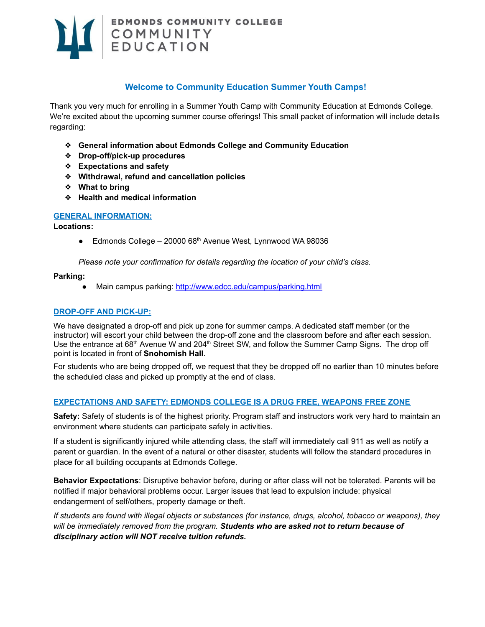

# **Welcome to Community Education Summer Youth Camps!**

Thank you very much for enrolling in a Summer Youth Camp with Community Education at Edmonds College. We're excited about the upcoming summer course offerings! This small packet of information will include details regarding:

- ❖ **General information about Edmonds College and Community Education**
- ❖ **Drop-off/pick-up procedures**
- ❖ **Expectations and safety**
- ❖ **Withdrawal, refund and cancellation policies**
- ❖ **What to bring**
- ❖ **Health and medical information**

#### **GENERAL INFORMATION:**

**Locations:**

■ Edmonds College – 20000 68<sup>th</sup> Avenue West, Lynnwood WA 98036

*Please note your confirmation for details regarding the location of your child's class.*

#### **Parking:**

● Main campus parking: <http://www.edcc.edu/campus/parking.html>

#### **DROP-OFF AND PICK-UP:**

We have designated a drop-off and pick up zone for summer camps. A dedicated staff member (or the instructor) will escort your child between the drop-off zone and the classroom before and after each session. Use the entrance at 68<sup>th</sup> Avenue W and 204<sup>th</sup> Street SW, and follow the Summer Camp Signs. The drop off point is located in front of **Snohomish Hall**.

For students who are being dropped off, we request that they be dropped off no earlier than 10 minutes before the scheduled class and picked up promptly at the end of class.

### **EXPECTATIONS AND SAFETY: EDMONDS COLLEGE IS A DRUG FREE, WEAPONS FREE ZONE**

**Safety:** Safety of students is of the highest priority. Program staff and instructors work very hard to maintain an environment where students can participate safely in activities.

If a student is significantly injured while attending class, the staff will immediately call 911 as well as notify a parent or guardian. In the event of a natural or other disaster, students will follow the standard procedures in place for all building occupants at Edmonds College.

**Behavior Expectations**: Disruptive behavior before, during or after class will not be tolerated. Parents will be notified if major behavioral problems occur. Larger issues that lead to expulsion include: physical endangerment of self/others, property damage or theft.

If students are found with illegal objects or substances (for instance, drugs, alcohol, tobacco or weapons), they *will be immediately removed from the program. Students who are asked not to return because of disciplinary action will NOT receive tuition refunds.*